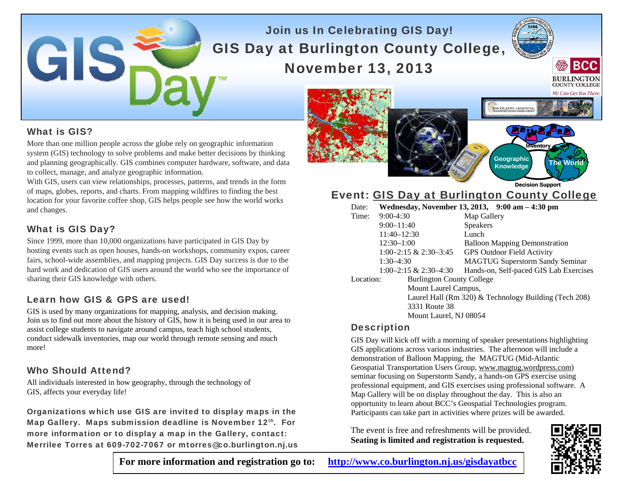# Join us In Celebrating GIS Day! GIS Day at Burlington County College, November 13, 2013



More than one million people across the globe rely on geographic information system (GIS) technology to solve problems and make better decisions by thinking and planning geographically. GIS combines computer hardware, software, and data to collect, manage, and analyze geographic information.

With GIS, users can view relationships, processes, patterns, and trends in the form of maps, globes, reports, and charts. From mapping wildfires to finding the best location for your favorite coffee shop, GIS helps people see how the world works and changes.

## What is GIS Day?

Since 1999, more than 10,000 organizations have participated in GIS Day by hosting events such as open houses, hands-on workshops, community expos, career fairs, school-wide assemblies, and mapping projects. GIS Day success is due to the hard work and dedication of GIS users around the world who see the importance of sharing their GIS knowledge with others.

## Learn how GIS & GPS are used!

GISS

GIS is used by many organizations for mapping, analysis, and decision making. Join us to find out more about the history of GIS, how it is being used in our area to assist college students to navigate around campus, teach high school students, conduct sidewalk inventories, map our world through remote sensing and much more!

### Who Should Attend?

All individuals interested in how geography, through the technology of GIS, affects your everyday life!

Organizations which use GIS are invited to display maps in the Map Gallery. Maps submission deadline is November 12<sup>th</sup>. For more information or to display a map in the Gallery, contact: Merrilee Torres at 609-702-7067 or mtorres@co.burlington.nj.us

We Can Get You There **ID-ATLANTIC GEOSPATIAL Inventory Geographic Knowledge The World** 

Event: GIS Day at Burlington County College **Decision Support**

| Date:     |                                  | Wednesday, November 13, 2013, 9:00 am - 4:30 pm       |
|-----------|----------------------------------|-------------------------------------------------------|
| Time:     | $9:00-4:30$                      | Map Gallery                                           |
|           | $9:00 - 11:40$                   | <b>Speakers</b>                                       |
|           | $11:40 - 12:30$                  | Lunch                                                 |
|           | $12:30-1:00$                     | <b>Balloon Mapping Demonstration</b>                  |
|           | $1:00-2:15 \& 2:30-3:45$         | <b>GPS Outdoor Field Activity</b>                     |
|           | $1:30-4:30$                      | <b>MAGTUG Superstorm Sandy Seminar</b>                |
|           | $1:00-2:15 \& 2:30-4:30$         | Hands-on, Self-paced GIS Lab Exercises                |
| Location: | <b>Burlington County College</b> |                                                       |
|           | Mount Laurel Campus,             |                                                       |
|           |                                  | Laurel Hall (Rm 320) & Technology Building (Tech 208) |
|           | 3331 Route 38                    |                                                       |
|           | Mount Laurel, NJ 08054           |                                                       |
|           |                                  |                                                       |

## **Description**

GIS Day will kick off with a morning of speaker presentations highlighting GIS applications across various industries. The afternoon will include a demonstration of Balloon Mapping, the MAGTUG (Mid-Atlantic Geospatial Transportation Users Group, www.magtug.wordpress.com) seminar focusing on Superstorm Sandy, a hands-on GPS exercise using professional equipment, and GIS exercises using professional software. A Map Gallery will be on display throughout the day. This is also an opportunity to learn about BCC's Geospatial Technologies program. Participants can take part in activities where prizes will be awarded.

The event is free and refreshments will be provided. **Seating is limited and registration is requested.** 



**BCC** 

**BURLINGTON** 

**For more information and registration go to: http://www.co.burlington.nj.us/gisdayatbcc**